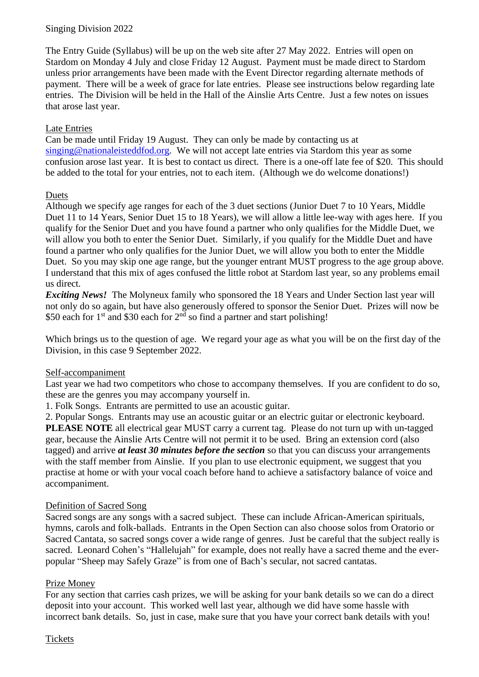# Singing Division 2022

The Entry Guide (Syllabus) will be up on the web site after 27 May 2022. Entries will open on Stardom on Monday 4 July and close Friday 12 August. Payment must be made direct to Stardom unless prior arrangements have been made with the Event Director regarding alternate methods of payment. There will be a week of grace for late entries. Please see instructions below regarding late entries. The Division will be held in the Hall of the Ainslie Arts Centre. Just a few notes on issues that arose last year.

# Late Entries

Can be made until Friday 19 August. They can only be made by contacting us at [singing@nationaleisteddfod.org.](mailto:singing@nationaleisteddfod.org) We will not accept late entries via Stardom this year as some confusion arose last year. It is best to contact us direct. There is a one-off late fee of \$20. This should be added to the total for your entries, not to each item. (Although we do welcome donations!)

### **Duets**

Although we specify age ranges for each of the 3 duet sections (Junior Duet 7 to 10 Years, Middle Duet 11 to 14 Years, Senior Duet 15 to 18 Years), we will allow a little lee-way with ages here. If you qualify for the Senior Duet and you have found a partner who only qualifies for the Middle Duet, we will allow you both to enter the Senior Duet. Similarly, if you qualify for the Middle Duet and have found a partner who only qualifies for the Junior Duet, we will allow you both to enter the Middle Duet. So you may skip one age range, but the younger entrant MUST progress to the age group above. I understand that this mix of ages confused the little robot at Stardom last year, so any problems email us direct.

*Exciting News!* The Molyneux family who sponsored the 18 Years and Under Section last year will not only do so again, but have also generously offered to sponsor the Senior Duet. Prizes will now be \$50 each for  $1<sup>st</sup>$  and \$30 each for  $2<sup>nd</sup>$  so find a partner and start polishing!

Which brings us to the question of age. We regard your age as what you will be on the first day of the Division, in this case 9 September 2022.

#### Self-accompaniment

Last year we had two competitors who chose to accompany themselves. If you are confident to do so, these are the genres you may accompany yourself in.

1. Folk Songs. Entrants are permitted to use an acoustic guitar.

2. Popular Songs. Entrants may use an acoustic guitar or an electric guitar or electronic keyboard. **PLEASE NOTE** all electrical gear MUST carry a current tag. Please do not turn up with un-tagged gear, because the Ainslie Arts Centre will not permit it to be used. Bring an extension cord (also tagged) and arrive *at least 30 minutes before the section* so that you can discuss your arrangements with the staff member from Ainslie. If you plan to use electronic equipment, we suggest that you practise at home or with your vocal coach before hand to achieve a satisfactory balance of voice and accompaniment.

#### Definition of Sacred Song

Sacred songs are any songs with a sacred subject. These can include African-American spirituals, hymns, carols and folk-ballads. Entrants in the Open Section can also choose solos from Oratorio or Sacred Cantata, so sacred songs cover a wide range of genres. Just be careful that the subject really is sacred. Leonard Cohen's "Hallelujah" for example, does not really have a sacred theme and the everpopular "Sheep may Safely Graze" is from one of Bach's secular, not sacred cantatas.

#### Prize Money

For any section that carries cash prizes, we will be asking for your bank details so we can do a direct deposit into your account. This worked well last year, although we did have some hassle with incorrect bank details. So, just in case, make sure that you have your correct bank details with you!

#### Tickets